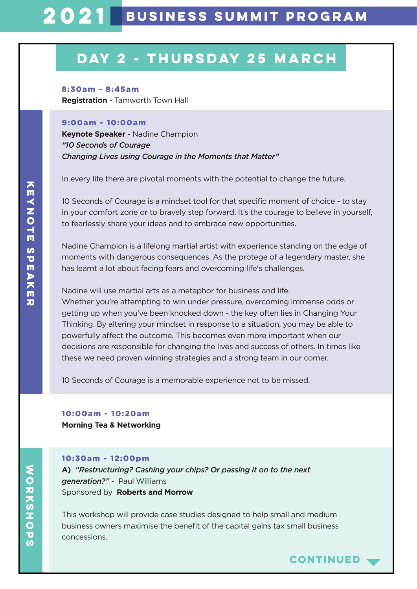## **DAY 2 - thurSDAY 25 MARCH**

8:30am - 8:45am **Registration** - Tamworth Town Hall

#### 9:00am - 10:00am

**Keynote Speaker** - Nadine Champion *"10 Seconds of Courage Changing Lives using Courage in the Moments that Matter"*

In every life there are pivotal moments with the potential to change the future.

10 Seconds of Courage is a mindset tool for that specific moment of choice - to stay in your comfort zone or to bravely step forward. It's the courage to believe in yourself, to fearlessly share your ideas and to embrace new opportunities.

Nadine Champion is a lifelong martial artist with experience standing on the edge of moments with dangerous consequences. As the protege of a legendary master, she has learnt a lot about facing fears and overcoming life's challenges.

Nadine will use martial arts as a metaphor for business and life. Whether you're attempting to win under pressure, overcoming immense odds or getting up when you've been knocked down - the key often lies in Changing Your Thinking. By altering your mindset in response to a situation, you may be able to powerfully affect the outcome. This becomes even more important when our decisions are responsible for changing the lives and success of others. In times like these we need proven winning strategies and a strong team in our corner.

10 Seconds of Courage is a memorable experience not to be missed.

10:00am - 10:20am **Morning Tea & Networking**

#### 10:30am - 12:00pm

**A)** *"Restructuring? Cashing your chips? Or passing it on to the next generation?"* - Paul Williams Sponsored by**Roberts and Morrow**

This workshop will provide case studies designed to help small and medium business owners maximise the benefit of the capital gains tax small business concessions.

**continued**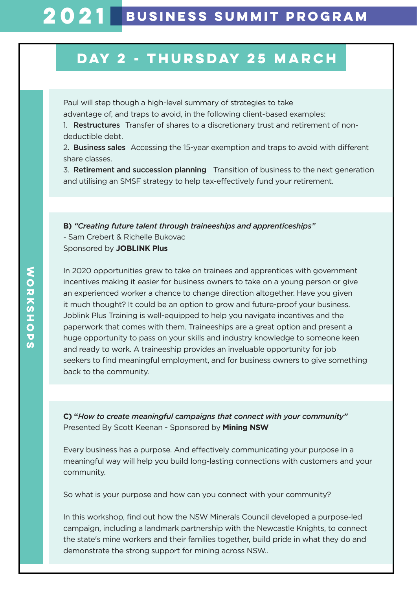### **DAY 2 - thurSDAY 25 MARCH**

Paul will step though a high-level summary of strategies to take advantage of, and traps to avoid, in the following client-based examples:

1. Restructures Transfer of shares to a discretionary trust and retirement of nondeductible debt.

2. Business sales Accessing the 15-year exemption and traps to avoid with different share classes.

3. Retirement and succession planning Transition of business to the next generation and utilising an SMSF strategy to help tax-effectively fund your retirement.

**B)** *"Creating future talent through traineeships and apprenticeships"*  - Sam Crebert & Richelle Bukovac Sponsored by **JOBLINK Plus**

In 2020 opportunities grew to take on trainees and apprentices with government incentives making it easier for business owners to take on a young person or give an experienced worker a chance to change direction altogether. Have you given it much thought? It could be an option to grow and future-proof your business. Joblink Plus Training is well-equipped to help you navigate incentives and the paperwork that comes with them. Traineeships are a great option and present a huge opportunity to pass on your skills and industry knowledge to someone keen and ready to work. A traineeship provides an invaluable opportunity for job seekers to find meaningful employment, and for business owners to give something back to the community.

**C) "***How to create meaningful campaigns that connect with your community"* Presented By Scott Keenan - Sponsored by **Mining NSW**

Every business has a purpose. And effectively communicating your purpose in a meaningful way will help you build long-lasting connections with customers and your community.

So what is your purpose and how can you connect with your community?

In this workshop, find out how the NSW Minerals Council developed a purpose-led campaign, including a landmark partnership with the Newcastle Knights, to connect the state's mine workers and their families together, build pride in what they do and demonstrate the strong support for mining across NSW..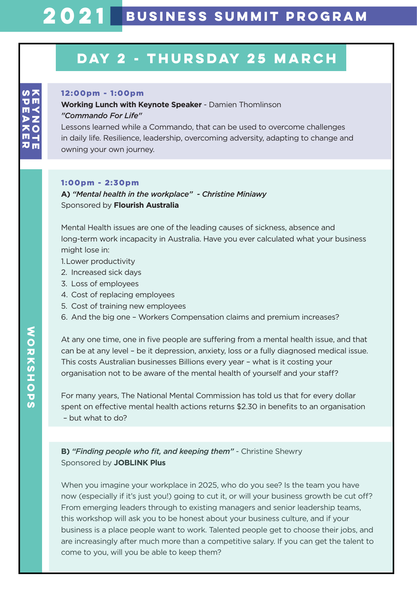# **2021 Business Summit PROGRAM**

### **DAY 2 - thurSDAY 25 MARCH**

#### 12:00pm - 1:00pm

**Working Lunch with Keynote Speaker** - Damien Thomlinson *"Commando For Life"*

Lessons learned while a Commando, that can be used to overcome challenges in daily life. Resilience, leadership, overcoming adversity, adapting to change and owning your own journey.

#### 1:00pm - 2:30pm

**A)** *"Mental health in the workplace" - Christine Miniawy* Sponsored by **Flourish Australia**

Mental Health issues are one of the leading causes of sickness, absence and long-term work incapacity in Australia. Have you ever calculated what your business might lose in:

- 1. Lower productivity
- 2. Increased sick days
- 3. Loss of employees
- 4. Cost of replacing employees
- 5. Cost of training new employees
- 6. And the big one Workers Compensation claims and premium increases?

At any one time, one in five people are suffering from a mental health issue, and that can be at any level – be it depression, anxiety, loss or a fully diagnosed medical issue. This costs Australian businesses Billions every year – what is it costing your organisation not to be aware of the mental health of yourself and your staff?

For many years, The National Mental Commission has told us that for every dollar spent on effective mental health actions returns \$2.30 in benefits to an organisation – but what to do?

### **B)** *"Finding people who fit, and keeping them"* - Christine Shewry Sponsored by **JOBLINK Plus**

When you imagine your workplace in 2025, who do you see? Is the team you have now (especially if it's just you!) going to cut it, or will your business growth be cut off? From emerging leaders through to existing managers and senior leadership teams, this workshop will ask you to be honest about your business culture, and if your business is a place people want to work. Talented people get to choose their jobs, and are increasingly after much more than a competitive salary. If you can get the talent to come to you, will you be able to keep them?